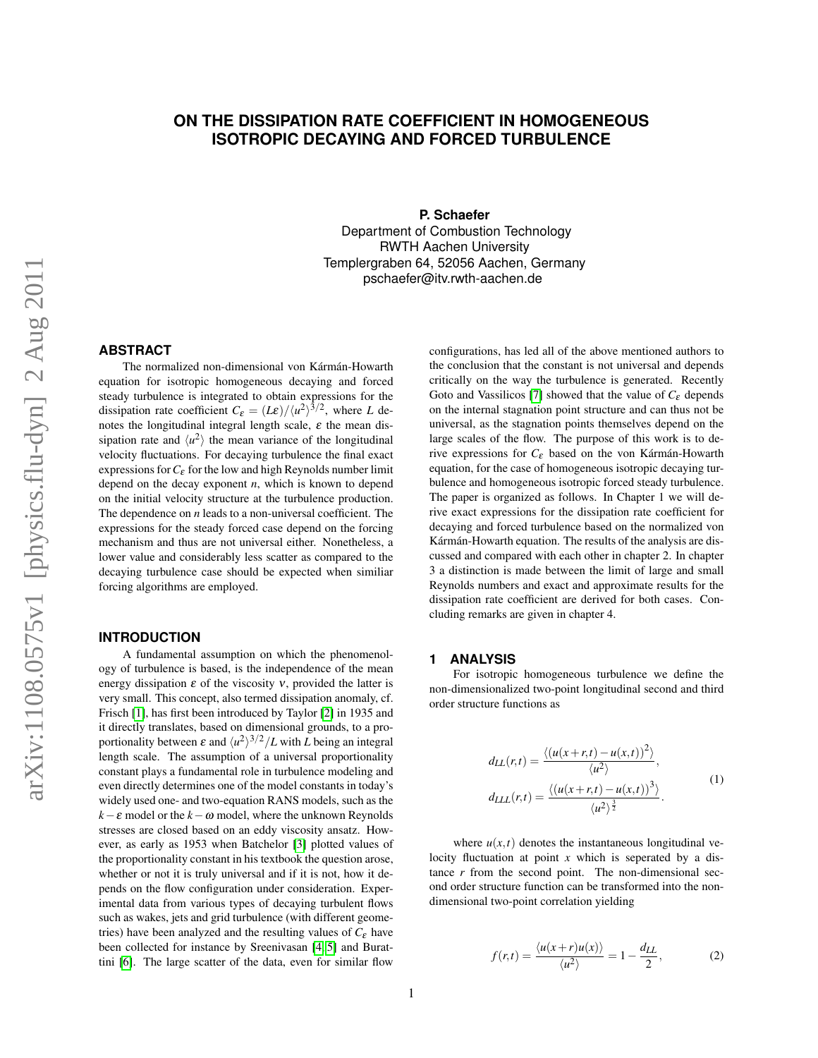# **ON THE DISSIPATION RATE COEFFICIENT IN HOMOGENEOUS ISOTROPIC DECAYING AND FORCED TURBULENCE**

**P. Schaefer**

Department of Combustion Technology RWTH Aachen University Templergraben 64, 52056 Aachen, Germany pschaefer@itv.rwth-aachen.de

# **ABSTRACT**

The normalized non-dimensional von Kármán-Howarth equation for isotropic homogeneous decaying and forced steady turbulence is integrated to obtain expressions for the dissipation rate coefficient  $C_{\varepsilon} = (L\varepsilon)/\langle u^2 \rangle^{3/2}$ , where *L* denotes the longitudinal integral length scale,  $\varepsilon$  the mean dissipation rate and  $\langle u^2 \rangle$  the mean variance of the longitudinal velocity fluctuations. For decaying turbulence the final exact expressions for  $C_{\varepsilon}$  for the low and high Reynolds number limit depend on the decay exponent *n*, which is known to depend on the initial velocity structure at the turbulence production. The dependence on *n* leads to a non-universal coefficient. The expressions for the steady forced case depend on the forcing mechanism and thus are not universal either. Nonetheless, a lower value and considerably less scatter as compared to the decaying turbulence case should be expected when similiar forcing algorithms are employed.

### **INTRODUCTION**

A fundamental assumption on which the phenomenology of turbulence is based, is the independence of the mean energy dissipation  $\varepsilon$  of the viscosity  $v$ , provided the latter is very small. This concept, also termed dissipation anomaly, cf. Frisch [\[1\]](#page-5-0), has first been introduced by Taylor [\[2\]](#page-5-1) in 1935 and it directly translates, based on dimensional grounds, to a proportionality between  $\varepsilon$  and  $\langle u^2 \rangle^{3/2}/L$  with *L* being an integral length scale. The assumption of a universal proportionality constant plays a fundamental role in turbulence modeling and even directly determines one of the model constants in today's widely used one- and two-equation RANS models, such as the  $k - \varepsilon$  model or the  $k - \omega$  model, where the unknown Reynolds stresses are closed based on an eddy viscosity ansatz. However, as early as 1953 when Batchelor [\[3\]](#page-5-2) plotted values of the proportionality constant in his textbook the question arose, whether or not it is truly universal and if it is not, how it depends on the flow configuration under consideration. Experimental data from various types of decaying turbulent flows such as wakes, jets and grid turbulence (with different geometries) have been analyzed and the resulting values of  $C_{\varepsilon}$  have been collected for instance by Sreenivasan [\[4,](#page-5-3) [5\]](#page-5-4) and Burattini [\[6\]](#page-5-5). The large scatter of the data, even for similar flow

configurations, has led all of the above mentioned authors to the conclusion that the constant is not universal and depends critically on the way the turbulence is generated. Recently Goto and Vassilicos [\[7\]](#page-5-6) showed that the value of  $C_{\varepsilon}$  depends on the internal stagnation point structure and can thus not be universal, as the stagnation points themselves depend on the large scales of the flow. The purpose of this work is to derive expressions for *C*<sub>ε</sub> based on the von Kármán-Howarth equation, for the case of homogeneous isotropic decaying turbulence and homogeneous isotropic forced steady turbulence. The paper is organized as follows. In Chapter 1 we will derive exact expressions for the dissipation rate coefficient for decaying and forced turbulence based on the normalized von Kármán-Howarth equation. The results of the analysis are discussed and compared with each other in chapter 2. In chapter 3 a distinction is made between the limit of large and small Reynolds numbers and exact and approximate results for the dissipation rate coefficient are derived for both cases. Concluding remarks are given in chapter 4.

## **1 ANALYSIS**

For isotropic homogeneous turbulence we define the non-dimensionalized two-point longitudinal second and third order structure functions as

$$
d_{LL}(r,t) = \frac{\langle (u(x+r,t) - u(x,t))^2 \rangle}{\langle u^2 \rangle},
$$
  
\n
$$
d_{LLL}(r,t) = \frac{\langle (u(x+r,t) - u(x,t))^3 \rangle}{\langle u^2 \rangle^{\frac{3}{2}}}.
$$
\n(1)

where  $u(x,t)$  denotes the instantaneous longitudinal velocity fluctuation at point *x* which is seperated by a distance  $r$  from the second point. The non-dimensional second order structure function can be transformed into the nondimensional two-point correlation yielding

$$
f(r,t) = \frac{\langle u(x+r)u(x) \rangle}{\langle u^2 \rangle} = 1 - \frac{d_{LL}}{2},
$$
 (2)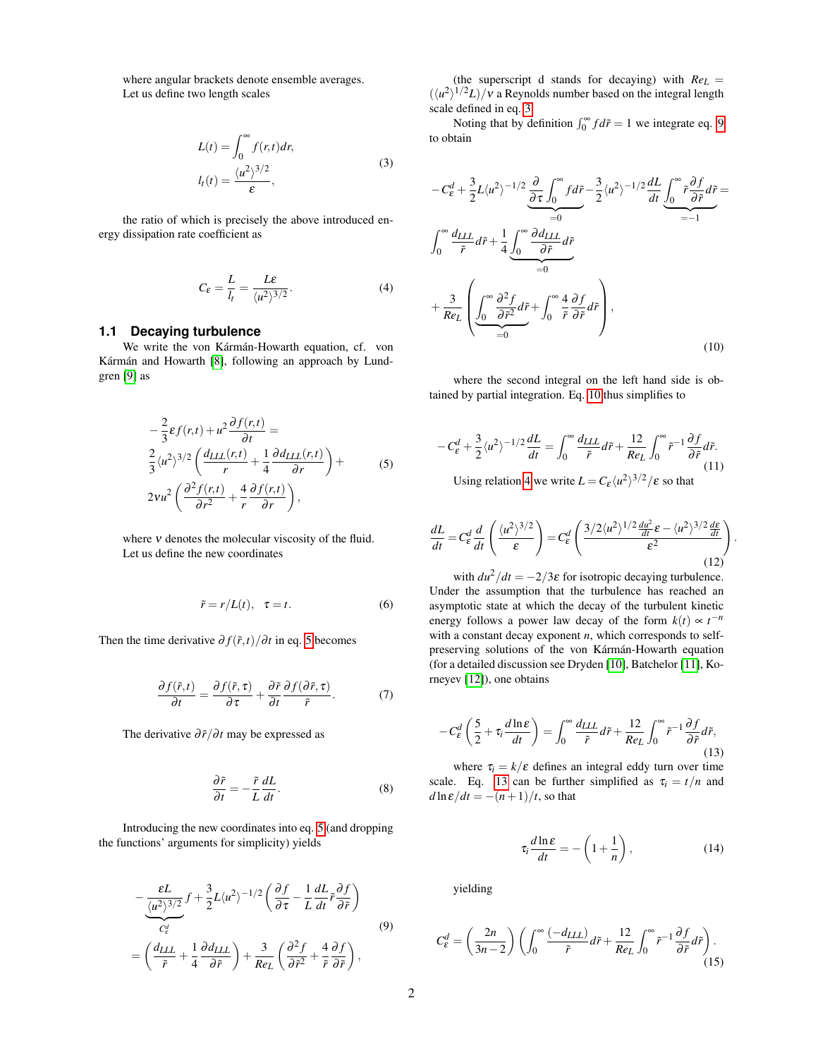where angular brackets denote ensemble averages. Let us define two length scales

$$
L(t) = \int_0^\infty f(r, t) dr,
$$
  
\n
$$
l_t(t) = \frac{\langle u^2 \rangle^{3/2}}{\varepsilon},
$$
\n(3)

<span id="page-1-1"></span>the ratio of which is precisely the above introduced energy dissipation rate coefficient as

<span id="page-1-4"></span>
$$
C_{\varepsilon} = \frac{L}{l_t} = \frac{L\varepsilon}{\langle u^2 \rangle^{3/2}}.
$$
 (4)

#### **1.1 Decaying turbulence**

We write the von Kármán-Howarth equation, cf. von Kármán and Howarth [\[8\]](#page-5-7), following an approach by Lundgren [\[9\]](#page-5-8) as

<span id="page-1-0"></span>
$$
-\frac{2}{3}\varepsilon f(r,t) + u^2 \frac{\partial f(r,t)}{\partial t} =
$$
  

$$
\frac{2}{3} \langle u^2 \rangle^{3/2} \left( \frac{d_{LLL}(r,t)}{r} + \frac{1}{4} \frac{\partial d_{LLL}(r,t)}{\partial r} \right) +
$$
  

$$
2vu^2 \left( \frac{\partial^2 f(r,t)}{\partial r^2} + \frac{4}{r} \frac{\partial f(r,t)}{\partial r} \right),
$$
 (5)

where  $\nu$  denotes the molecular viscosity of the fluid. Let us define the new coordinates

<span id="page-1-7"></span>
$$
\tilde{r} = r/L(t), \quad \tau = t. \tag{6}
$$

Then the time derivative  $\frac{\partial f(\vec{r},t)}{\partial t}$  in eq. [5](#page-1-0) becomes

$$
\frac{\partial f(\tilde{r},t)}{\partial t} = \frac{\partial f(\tilde{r},\tau)}{\partial \tau} + \frac{\partial \tilde{r}}{\partial t} \frac{\partial f(\partial \tilde{r},\tau)}{\tilde{r}}.
$$
(7)

The derivative  $\frac{\partial \tilde{r}}{\partial t}$  may be expressed as

$$
\frac{\partial \tilde{r}}{\partial t} = -\frac{\tilde{r}}{L} \frac{dL}{dt}.
$$
 (8)

Introducing the new coordinates into eq. [5](#page-1-0) (and dropping the functions' arguments for simplicity) yields

<span id="page-1-2"></span>
$$
-\frac{\varepsilon L}{\frac{\langle u^2 \rangle^{3/2}}{\varepsilon_{\varepsilon}^d}} f + \frac{3}{2} L \langle u^2 \rangle^{-1/2} \left( \frac{\partial f}{\partial \tau} - \frac{1}{L} \frac{dL}{dt} \tilde{r} \frac{\partial f}{\partial \tilde{r}} \right)
$$
  
=  $\left( \frac{d_{LLL}}{\tilde{r}} + \frac{1}{4} \frac{\partial d_{LLL}}{\partial \tilde{r}} \right) + \frac{3}{Re_L} \left( \frac{\partial^2 f}{\partial \tilde{r}^2} + \frac{4}{\tilde{r}} \frac{\partial f}{\partial \tilde{r}} \right),$  (9)

(the superscript d stands for decaying) with  $Re<sub>L</sub>$  =  $(\langle u^2 \rangle^{1/2}L)/v$  a Reynolds number based on the integral length scale defined in eq. [3.](#page-1-1)

Noting that by definition  $\int_0^\infty f d\tilde{r} = 1$  we integrate eq. [9](#page-1-2) to obtain

<span id="page-1-3"></span>
$$
-C_{\varepsilon}^{d} + \frac{3}{2}L\langle u^{2}\rangle^{-1/2}\frac{\partial}{\partial \tau}\int_{0}^{\infty} f d\tilde{r} - \frac{3}{2}\langle u^{2}\rangle^{-1/2}\frac{dL}{dt}\underbrace{\int_{0}^{\infty}\tilde{r}\frac{\partial f}{\partial \tilde{r}}d\tilde{r}}_{=-1}
$$
\n
$$
\int_{0}^{\infty}\frac{d_{LLL}}{\tilde{r}}d\tilde{r} + \frac{1}{4}\underbrace{\int_{0}^{\infty}\frac{\partial d_{LLL}}{\partial \tilde{r}}d\tilde{r}}_{=0}
$$
\n
$$
+\frac{3}{Re_{L}}\left(\underbrace{\int_{0}^{\infty}\frac{\partial^{2}f}{\partial \tilde{r}^{2}}d\tilde{r}}_{=0} + \underbrace{\int_{0}^{\infty}\frac{\partial^{2}f}{\partial \tilde{r}^{2}}d\tilde{r}}_{=0} + \underbrace{\int_{0}^{\infty}\frac{\partial^{2}f}{\partial \tilde{r}^{2}}d\tilde{r}}_{=0} + \underbrace{\int_{0}^{\infty}\frac{\partial^{2}f}{\partial \tilde{r}^{2}}d\tilde{r}}_{=0} + \underbrace{\int_{0}^{\infty}\frac{\partial^{2}f}{\partial \tilde{r}^{2}}d\tilde{r}}_{=0} + \underbrace{\int_{0}^{\infty}\frac{\partial^{2}f}{\partial \tilde{r}^{2}}d\tilde{r}}_{=0} + \underbrace{\int_{0}^{\infty}\frac{\partial^{2}f}{\partial \tilde{r}^{2}}d\tilde{r}}_{=0} + \underbrace{\int_{0}^{\infty}\frac{\partial^{2}f}{\partial \tilde{r}^{2}}d\tilde{r}}_{=0} + \underbrace{\int_{0}^{\infty}\frac{\partial^{2}f}{\partial \tilde{r}^{2}}d\tilde{r}}_{=0} + \underbrace{\int_{0}^{\infty}\frac{\partial^{2}f}{\partial \tilde{r}^{2}}d\tilde{r}}_{=0} + \underbrace{\int_{0}^{\infty}\frac{\partial^{2}f}{\partial \tilde{r}^{2}}d\tilde{r}}_{=0} + \underbrace{\int_{0}^{\infty}\frac{\partial^{2}f}{\partial \tilde{r}^{2}}d\tilde{r}}_{=0} + \underbrace
$$

where the second integral on the left hand side is obtained by partial integration. Eq. [10](#page-1-3) thus simplifies to

$$
-C_{\varepsilon}^{d} + \frac{3}{2} \langle u^{2} \rangle^{-1/2} \frac{dL}{dt} = \int_{0}^{\infty} \frac{d_{LLL}}{\tilde{r}} d\tilde{r} + \frac{12}{Re_{L}} \int_{0}^{\infty} \tilde{r}^{-1} \frac{\partial f}{\partial \tilde{r}} d\tilde{r}.
$$
  
Using relation 4 we write  $L = C_{\varepsilon} \frac{u^{2}}{3^{2}} \frac{3}{2} f \varepsilon$  so that (11)

Using relation [4](#page-1-4) we write  $L = C_{\varepsilon} \langle u^2 \rangle^{3/2} / \varepsilon$  so that

$$
\frac{dL}{dt} = C_{\varepsilon}^d \frac{d}{dt} \left( \frac{\langle u^2 \rangle^{3/2}}{\varepsilon} \right) = C_{\varepsilon}^d \left( \frac{3/2 \langle u^2 \rangle^{1/2} \frac{du^2}{dt} \varepsilon - \langle u^2 \rangle^{3/2} \frac{d\varepsilon}{dt}}{\varepsilon^2} \right)
$$
\n(12)

.

with  $du^2/dt = -2/3\varepsilon$  for isotropic decaying turbulence. Under the assumption that the turbulence has reached an asymptotic state at which the decay of the turbulent kinetic energy follows a power law decay of the form  $k(t) \propto t^{-n}$ with a constant decay exponent *n*, which corresponds to selfpreserving solutions of the von Kármán-Howarth equation (for a detailed discussion see Dryden [\[10\]](#page-5-9), Batchelor [\[11\]](#page-5-10), Korneyev [\[12\]](#page-5-11)), one obtains

<span id="page-1-5"></span>
$$
-C_{\varepsilon}^{d}\left(\frac{5}{2}+\tau_{i}\frac{d\ln\varepsilon}{dt}\right)=\int_{0}^{\infty}\frac{d_{LLL}}{\tilde{r}}d\tilde{r}+\frac{12}{Re_{L}}\int_{0}^{\infty}\tilde{r}^{-1}\frac{\partial f}{\partial\tilde{r}}d\tilde{r},\tag{13}
$$

where  $\tau_i = k/\varepsilon$  defines an integral eddy turn over time scale. Eq. [13](#page-1-5) can be further simplified as  $\tau_i = t/n$  and  $d\ln \varepsilon/dt = -(n+1)/t$ , so that

$$
\tau_i \frac{d \ln \varepsilon}{dt} = -\left(1 + \frac{1}{n}\right),\tag{14}
$$

yielding

<span id="page-1-6"></span>
$$
C_{\varepsilon}^{d} = \left(\frac{2n}{3n-2}\right) \left( \int_0^{\infty} \frac{(-d_{LLL})}{\tilde{r}} d\tilde{r} + \frac{12}{Re_L} \int_0^{\infty} \tilde{r}^{-1} \frac{\partial f}{\partial \tilde{r}} d\tilde{r} \right). \tag{15}
$$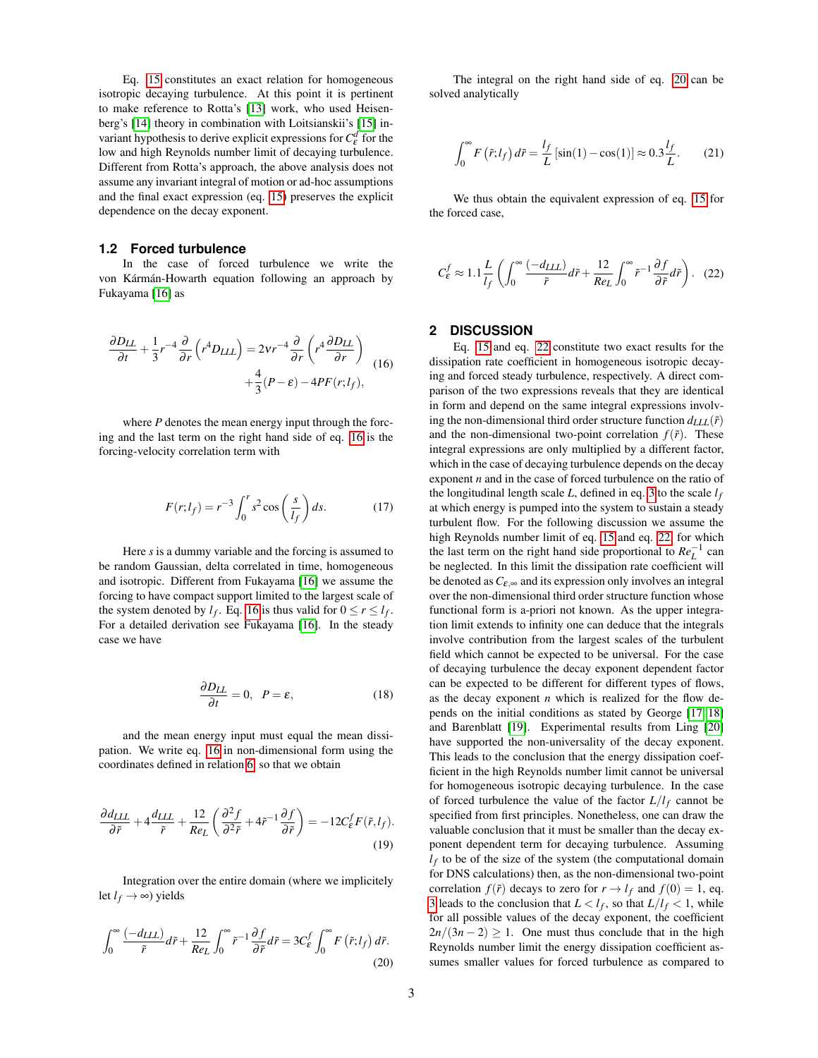Eq. [15](#page-1-6) constitutes an exact relation for homogeneous isotropic decaying turbulence. At this point it is pertinent to make reference to Rotta's [\[13\]](#page-5-12) work, who used Heisenberg's [\[14\]](#page-5-13) theory in combination with Loitsianskii's [\[15\]](#page-5-14) invariant hypothesis to derive explicit expressions for  $C_{\varepsilon}^{d}$  for the low and high Reynolds number limit of decaying turbulence. Different from Rotta's approach, the above analysis does not assume any invariant integral of motion or ad-hoc assumptions and the final exact expression (eq. [15\)](#page-1-6) preserves the explicit dependence on the decay exponent.

#### **1.2 Forced turbulence**

In the case of forced turbulence we write the von Kármán-Howarth equation following an approach by Fukayama [\[16\]](#page-5-15) as

<span id="page-2-0"></span>
$$
\frac{\partial D_{LL}}{\partial t} + \frac{1}{3}r^{-4}\frac{\partial}{\partial r}\left(r^4 D_{LLL}\right) = 2vr^{-4}\frac{\partial}{\partial r}\left(r^4 \frac{\partial D_{LL}}{\partial r}\right) + \frac{4}{3}(P - \varepsilon) - 4PF(r;l_f),
$$
\n(16)

where *P* denotes the mean energy input through the forcing and the last term on the right hand side of eq. [16](#page-2-0) is the forcing-velocity correlation term with

$$
F(r; l_f) = r^{-3} \int_0^r s^2 \cos\left(\frac{s}{l_f}\right) ds. \tag{17}
$$

Here *s* is a dummy variable and the forcing is assumed to be random Gaussian, delta correlated in time, homogeneous and isotropic. Different from Fukayama [\[16\]](#page-5-15) we assume the forcing to have compact support limited to the largest scale of the system denoted by  $l_f$ . Eq. [16](#page-2-0) is thus valid for  $0 \le r \le l_f$ . For a detailed derivation see Fukayama [\[16\]](#page-5-15). In the steady case we have

$$
\frac{\partial D_{LL}}{\partial t} = 0, \ \ P = \varepsilon,\tag{18}
$$

and the mean energy input must equal the mean dissipation. We write eq. [16](#page-2-0) in non-dimensional form using the coordinates defined in relation [6,](#page-1-7) so that we obtain

$$
\frac{\partial d_{LLL}}{\partial \tilde{r}} + 4 \frac{d_{LLL}}{\tilde{r}} + \frac{12}{Re_L} \left( \frac{\partial^2 f}{\partial^2 \tilde{r}} + 4 \tilde{r}^{-1} \frac{\partial f}{\partial \tilde{r}} \right) = -12 C_{\varepsilon}^f F(\tilde{r}, l_f).
$$
\n(19)

Integration over the entire domain (where we implicitely let  $l_f$  → ∞) yields

<span id="page-2-1"></span>
$$
\int_0^\infty \frac{(-d_{LLL})}{\tilde{r}} d\tilde{r} + \frac{12}{Re_L} \int_0^\infty \tilde{r}^{-1} \frac{\partial f}{\partial \tilde{r}} d\tilde{r} = 3C_\varepsilon^f \int_0^\infty F(\tilde{r}; l_f) d\tilde{r}.
$$
\n(20)

The integral on the right hand side of eq. [20](#page-2-1) can be solved analytically

$$
\int_0^\infty F\left(\tilde{r}; l_f\right) d\tilde{r} = \frac{l_f}{L} \left[\sin(1) - \cos(1)\right] \approx 0.3 \frac{l_f}{L}.\tag{21}
$$

We thus obtain the equivalent expression of eq. [15](#page-1-6) for the forced case,

<span id="page-2-2"></span>
$$
C_{\varepsilon}^f \approx 1.1 \frac{L}{l_f} \left( \int_0^\infty \frac{(-d_{LLL})}{\tilde{r}} d\tilde{r} + \frac{12}{Re_L} \int_0^\infty \tilde{r}^{-1} \frac{\partial f}{\partial \tilde{r}} d\tilde{r} \right). (22)
$$

# **2 DISCUSSION**

Eq. [15](#page-1-6) and eq. [22](#page-2-2) constitute two exact results for the dissipation rate coefficient in homogeneous isotropic decaying and forced steady turbulence, respectively. A direct comparison of the two expressions reveals that they are identical in form and depend on the same integral expressions involving the non-dimensional third order structure function  $d_{LLL}(\tilde{r})$ and the non-dimensional two-point correlation  $f(\tilde{r})$ . These integral expressions are only multiplied by a different factor, which in the case of decaying turbulence depends on the decay exponent *n* and in the case of forced turbulence on the ratio of the longitudinal length scale  $L$ , defined in eq. [3](#page-1-1) to the scale  $l_f$ at which energy is pumped into the system to sustain a steady turbulent flow. For the following discussion we assume the high Reynolds number limit of eq. [15](#page-1-6) and eq. [22,](#page-2-2) for which the last term on the right hand side proportional to  $Re_L^{-1}$  can be neglected. In this limit the dissipation rate coefficient will be denoted as  $C_{\varepsilon,\infty}$  and its expression only involves an integral over the non-dimensional third order structure function whose functional form is a-priori not known. As the upper integration limit extends to infinity one can deduce that the integrals involve contribution from the largest scales of the turbulent field which cannot be expected to be universal. For the case of decaying turbulence the decay exponent dependent factor can be expected to be different for different types of flows, as the decay exponent *n* which is realized for the flow depends on the initial conditions as stated by George [\[17,](#page-5-16) [18\]](#page-5-17) and Barenblatt [\[19\]](#page-5-18). Experimental results from Ling [\[20\]](#page-5-19) have supported the non-universality of the decay exponent. This leads to the conclusion that the energy dissipation coefficient in the high Reynolds number limit cannot be universal for homogeneous isotropic decaying turbulence. In the case of forced turbulence the value of the factor  $L/l_f$  cannot be specified from first principles. Nonetheless, one can draw the valuable conclusion that it must be smaller than the decay exponent dependent term for decaying turbulence. Assuming  $l_f$  to be of the size of the system (the computational domain for DNS calculations) then, as the non-dimensional two-point correlation  $f(\tilde{r})$  decays to zero for  $r \to l_f$  and  $f(0) = 1$ , eq. [3](#page-1-1) leads to the conclusion that  $L < l_f$ , so that  $L/l_f < 1$ , while for all possible values of the decay exponent, the coefficient  $2n/(3n-2) \geq 1$ . One must thus conclude that in the high Reynolds number limit the energy dissipation coefficient assumes smaller values for forced turbulence as compared to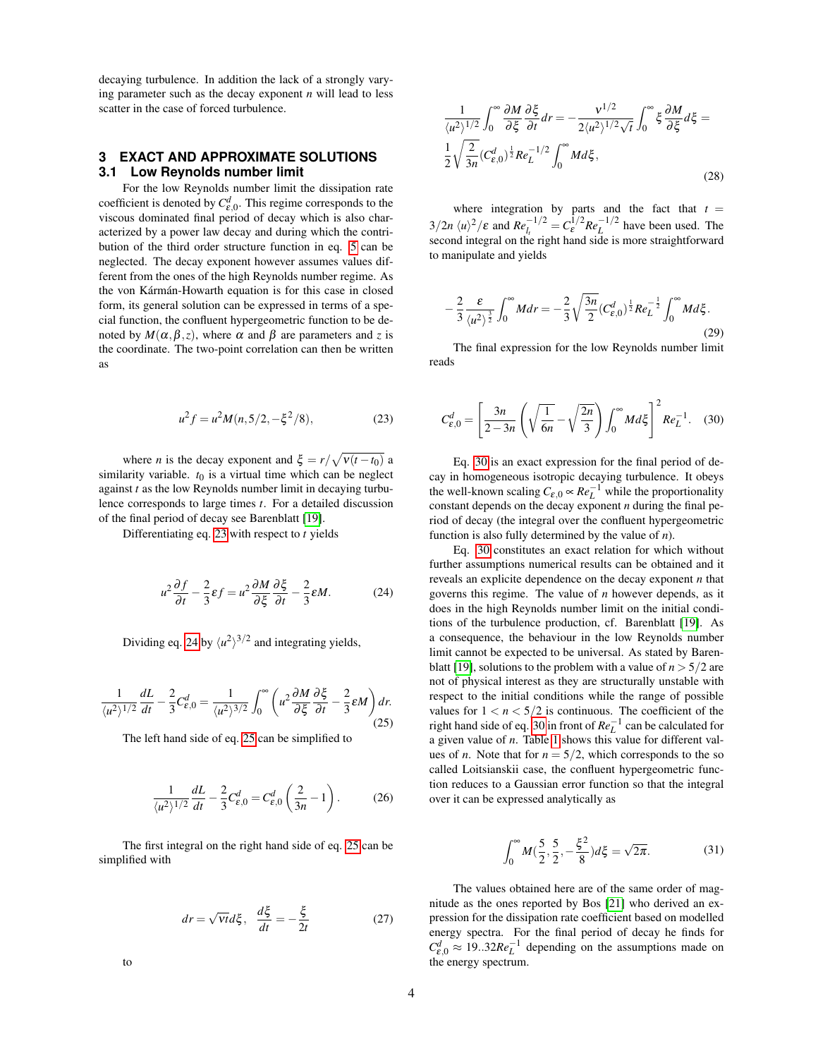decaying turbulence. In addition the lack of a strongly varying parameter such as the decay exponent *n* will lead to less scatter in the case of forced turbulence.

# **3 EXACT AND APPROXIMATE SOLUTIONS 3.1 Low Reynolds number limit**

For the low Reynolds number limit the dissipation rate coefficient is denoted by  $C_{\varepsilon,0}^d$ . This regime corresponds to the viscous dominated final period of decay which is also characterized by a power law decay and during which the contribution of the third order structure function in eq. [5](#page-1-0) can be neglected. The decay exponent however assumes values different from the ones of the high Reynolds number regime. As the von Kármán-Howarth equation is for this case in closed form, its general solution can be expressed in terms of a special function, the confluent hypergeometric function to be denoted by  $M(\alpha, \beta, z)$ , where  $\alpha$  and  $\beta$  are parameters and *z* is the coordinate. The two-point correlation can then be written as

<span id="page-3-0"></span>
$$
u^2 f = u^2 M(n, 5/2, -\xi^2/8),
$$
 (23)

where *n* is the decay exponent and  $\xi = r/\sqrt{v(t-t_0)}$  a similarity variable.  $t_0$  is a virtual time which can be neglect against *t* as the low Reynolds number limit in decaying turbulence corresponds to large times *t*. For a detailed discussion of the final period of decay see Barenblatt [\[19\]](#page-5-18).

Differentiating eq. [23](#page-3-0) with respect to *t* yields

<span id="page-3-1"></span>
$$
u^2 \frac{\partial f}{\partial t} - \frac{2}{3} \varepsilon f = u^2 \frac{\partial M}{\partial \xi} \frac{\partial \xi}{\partial t} - \frac{2}{3} \varepsilon M.
$$
 (24)

Dividing eq. [24](#page-3-1) by  $\langle u^2 \rangle^{3/2}$  and integrating yields,

<span id="page-3-2"></span>
$$
\frac{1}{\langle u^2 \rangle^{1/2}} \frac{dL}{dt} - \frac{2}{3} C_{\varepsilon,0}^d = \frac{1}{\langle u^2 \rangle^{3/2}} \int_0^\infty \left( u^2 \frac{\partial M}{\partial \xi} \frac{\partial \xi}{\partial t} - \frac{2}{3} \varepsilon M \right) dr. \tag{25}
$$

The left hand side of eq. [25](#page-3-2) can be simplified to

$$
\frac{1}{\langle u^2 \rangle^{1/2}} \frac{dL}{dt} - \frac{2}{3} C_{\varepsilon,0}^d = C_{\varepsilon,0}^d \left( \frac{2}{3n} - 1 \right). \tag{26}
$$

The first integral on the right hand side of eq. [25](#page-3-2) can be simplified with

$$
dr = \sqrt{Vt}d\xi, \quad \frac{d\xi}{dt} = -\frac{\xi}{2t}
$$
 (27)

1  $\langle u^2 \rangle^{1/2}$  $\int^{\infty}$  $\boldsymbol{0}$ ∂*M* ∂ ξ ∂ ξ  $\frac{\partial \xi}{\partial t} dr = -\frac{v^{1/2}}{2\langle u^2 \rangle^{1/2}}$  $\frac{1}{2\langle u^2 \rangle^{1/2}\sqrt{t}}$  $\int^{\infty}$  $\int_0^\infty \xi \frac{\partial M}{\partial \xi} d\xi =$ 1 2  $\sqrt{2}$  $\frac{2}{3n}(C_{\varepsilon,0}^d)^{\frac{1}{2}}Re_L^{-1/2}$  $\int^{\infty}$ 0 *Md*ξ , (28)

where integration by parts and the fact that  $t =$  $3/2n \langle u \rangle^2 / \varepsilon$  and  $Re_{l_t}^{-1/2} = C_{\varepsilon}^{1/2} Re_L^{-1/2}$  have been used. The second integral on the right hand side is more straightforward to manipulate and yields

$$
-\frac{2}{3}\frac{\varepsilon}{\langle u^2 \rangle^{\frac{3}{2}}} \int_0^\infty M dr = -\frac{2}{3} \sqrt{\frac{3n}{2}} (C_{\varepsilon,0}^d)^{\frac{1}{2}} Re_L^{-\frac{1}{2}} \int_0^\infty M d\xi.
$$
\n(29)

The final expression for the low Reynolds number limit reads

<span id="page-3-3"></span>
$$
C_{\varepsilon,0}^d = \left[\frac{3n}{2-3n}\left(\sqrt{\frac{1}{6n}} - \sqrt{\frac{2n}{3}}\right)\int_0^\infty Md\xi\right]^2 Re_L^{-1}.\quad(30)
$$

Eq. [30](#page-3-3) is an exact expression for the final period of decay in homogeneous isotropic decaying turbulence. It obeys the well-known scaling  $C_{\varepsilon,0} \propto Re^{-1}_L$  while the proportionality constant depends on the decay exponent *n* during the final period of decay (the integral over the confluent hypergeometric function is also fully determined by the value of *n*).

Eq. [30](#page-3-3) constitutes an exact relation for which without further assumptions numerical results can be obtained and it reveals an explicite dependence on the decay exponent *n* that governs this regime. The value of *n* however depends, as it does in the high Reynolds number limit on the initial conditions of the turbulence production, cf. Barenblatt [\[19\]](#page-5-18). As a consequence, the behaviour in the low Reynolds number limit cannot be expected to be universal. As stated by Baren-blatt [\[19\]](#page-5-18), solutions to the problem with a value of  $n > 5/2$  are not of physical interest as they are structurally unstable with respect to the initial conditions while the range of possible values for  $1 < n < 5/2$  is continuous. The coefficient of the right hand side of eq. [30](#page-3-3) in front of  $Re_L^{-1}$  can be calculated for a given value of *n*. Table [1](#page-4-0) shows this value for different values of *n*. Note that for  $n = 5/2$ , which corresponds to the so called Loitsianskii case, the confluent hypergeometric function reduces to a Gaussian error function so that the integral over it can be expressed analytically as

$$
\int_0^\infty M(\frac{5}{2}, \frac{5}{2}, -\frac{\xi^2}{8}) d\xi = \sqrt{2\pi}.
$$
 (31)

The values obtained here are of the same order of magnitude as the ones reported by Bos [\[21\]](#page-5-20) who derived an expression for the dissipation rate coefficient based on modelled energy spectra. For the final period of decay he finds for  $C_{\varepsilon,0}^d \approx 19..32Re_L^{-1}$  depending on the assumptions made on the energy spectrum.

to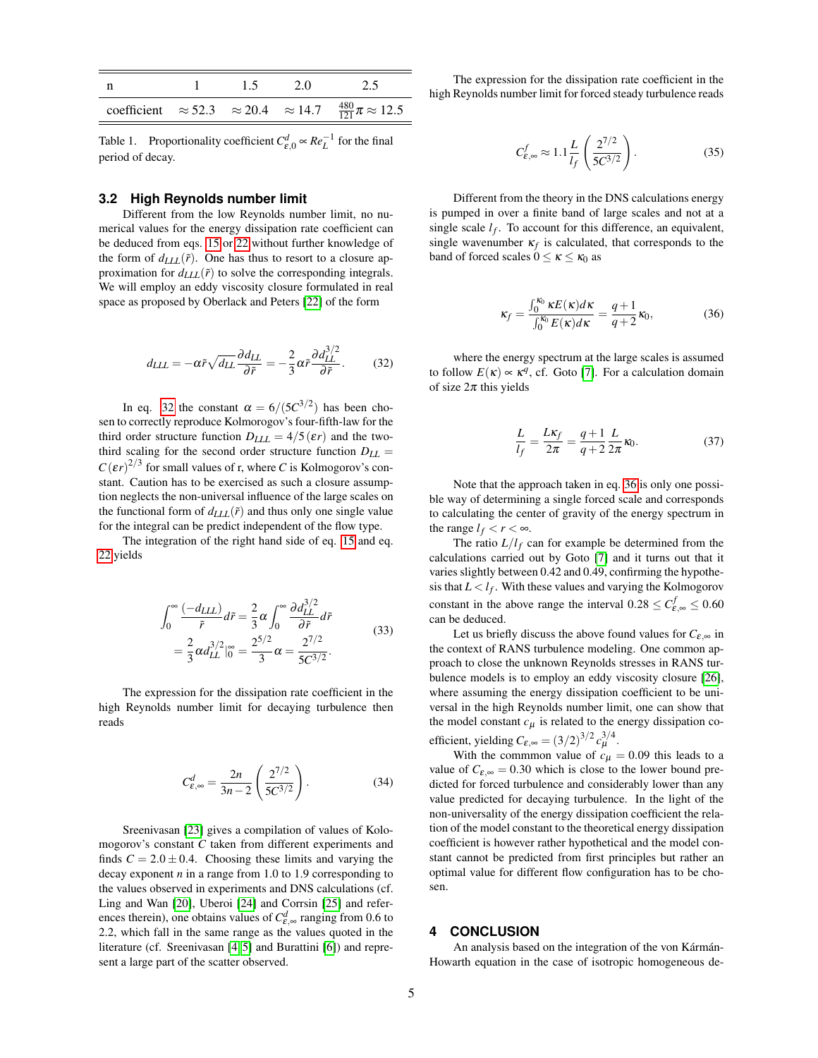|  | 15. | 2.0 | 2.5                                                                                        |
|--|-----|-----|--------------------------------------------------------------------------------------------|
|  |     |     | coefficient $\approx$ 52.3 $\approx$ 20.4 $\approx$ 14.7 $\frac{480}{121}\pi \approx$ 12.5 |

<span id="page-4-0"></span>Table 1. Proportionality coefficient  $C_{\varepsilon,0}^d \propto Re_L^{-1}$  for the final period of decay.

### **3.2 High Reynolds number limit**

Different from the low Reynolds number limit, no numerical values for the energy dissipation rate coefficient can be deduced from eqs. [15](#page-1-6) or [22](#page-2-2) without further knowledge of the form of  $d_{LLL}(\tilde{r})$ . One has thus to resort to a closure approximation for  $d_{LLL}(\tilde{r})$  to solve the corresponding integrals. We will employ an eddy viscosity closure formulated in real space as proposed by Oberlack and Peters [\[22\]](#page-5-21) of the form

<span id="page-4-1"></span>
$$
d_{LLL} = -\alpha \tilde{r} \sqrt{d_{LL}} \frac{\partial d_{LL}}{\partial \tilde{r}} = -\frac{2}{3} \alpha \tilde{r} \frac{\partial d_{LL}^{3/2}}{\partial \tilde{r}}.
$$
 (32)

In eq. [32](#page-4-1) the constant  $\alpha = 6/(5C^{3/2})$  has been chosen to correctly reproduce Kolmorogov's four-fifth-law for the third order structure function  $D_{LLL} = 4/5(\epsilon r)$  and the twothird scaling for the second order structure function  $D_{LL}$  =  $C(\varepsilon r)^{2/3}$  for small values of r, where *C* is Kolmogorov's constant. Caution has to be exercised as such a closure assumption neglects the non-universal influence of the large scales on the functional form of  $d_{LLL}(\tilde{r})$  and thus only one single value for the integral can be predict independent of the flow type.

The integration of the right hand side of eq. [15](#page-1-6) and eq. [22](#page-2-2) yields

$$
\int_0^\infty \frac{(-d_{LLL})}{\tilde{r}} d\tilde{r} = \frac{2}{3} \alpha \int_0^\infty \frac{\partial d_{LL}^{3/2}}{\partial \tilde{r}} d\tilde{r}
$$
  
=  $\frac{2}{3} \alpha d_{LL}^{3/2} \Big|_0^\infty = \frac{2^{5/2}}{3} \alpha = \frac{2^{7/2}}{5C^{3/2}}.$  (33)

The expression for the dissipation rate coefficient in the high Reynolds number limit for decaying turbulence then reads

$$
C_{\varepsilon,\infty}^d = \frac{2n}{3n-2} \left( \frac{2^{7/2}}{5C^{3/2}} \right). \tag{34}
$$

Sreenivasan [\[23\]](#page-5-22) gives a compilation of values of Kolomogorov's constant *C* taken from different experiments and finds  $C = 2.0 \pm 0.4$ . Choosing these limits and varying the decay exponent *n* in a range from 1.0 to 1.9 corresponding to the values observed in experiments and DNS calculations (cf. Ling and Wan [\[20\]](#page-5-19), Uberoi [\[24\]](#page-5-23) and Corrsin [\[25\]](#page-5-24) and references therein), one obtains values of  $C_{\varepsilon,\infty}^d$  ranging from 0.6 to 2.2, which fall in the same range as the values quoted in the literature (cf. Sreenivasan [\[4,](#page-5-3) [5\]](#page-5-4) and Burattini [\[6\]](#page-5-5)) and represent a large part of the scatter observed.

The expression for the dissipation rate coefficient in the high Reynolds number limit for forced steady turbulence reads

$$
C_{\varepsilon,\infty}^f \approx 1.1 \frac{L}{l_f} \left( \frac{2^{7/2}}{5C^{3/2}} \right). \tag{35}
$$

Different from the theory in the DNS calculations energy is pumped in over a finite band of large scales and not at a single scale  $l_f$ . To account for this difference, an equivalent, single wavenumber  $\kappa_f$  is calculated, that corresponds to the band of forced scales  $0 \le \kappa \le \kappa_0$  as

<span id="page-4-2"></span>
$$
\kappa_f = \frac{\int_0^{\kappa_0} \kappa E(\kappa) d\kappa}{\int_0^{\kappa_0} E(\kappa) d\kappa} = \frac{q+1}{q+2} \kappa_0,\tag{36}
$$

where the energy spectrum at the large scales is assumed to follow  $E(\kappa) \propto \kappa^q$ , cf. Goto [\[7\]](#page-5-6). For a calculation domain of size  $2\pi$  this yields

$$
\frac{L}{l_f} = \frac{L\kappa_f}{2\pi} = \frac{q+1}{q+2} \frac{L}{2\pi} \kappa_0.
$$
 (37)

Note that the approach taken in eq. [36](#page-4-2) is only one possible way of determining a single forced scale and corresponds to calculating the center of gravity of the energy spectrum in the range  $l_f < r < \infty$ .

The ratio  $L/l_f$  can for example be determined from the calculations carried out by Goto [\[7\]](#page-5-6) and it turns out that it varies slightly between 0.42 and 0.49, confirming the hypothesis that  $L < l_f$ . With these values and varying the Kolmogorov constant in the above range the interval  $0.28 \le C_{\varepsilon,\infty}^f \le 0.60$ can be deduced.

Let us briefly discuss the above found values for  $C_{\epsilon,\infty}$  in the context of RANS turbulence modeling. One common approach to close the unknown Reynolds stresses in RANS turbulence models is to employ an eddy viscosity closure [\[26\]](#page-5-25), where assuming the energy dissipation coefficient to be universal in the high Reynolds number limit, one can show that the model constant  $c<sub>u</sub>$  is related to the energy dissipation coefficient, yielding  $C_{\varepsilon,\infty} = (3/2)^{3/2} c_{\mu}^{3/4}$ .

With the commmon value of  $c<sub>\mu</sub> = 0.09$  this leads to a value of  $C_{\varepsilon,\infty} = 0.30$  which is close to the lower bound predicted for forced turbulence and considerably lower than any value predicted for decaying turbulence. In the light of the non-universality of the energy dissipation coefficient the relation of the model constant to the theoretical energy dissipation coefficient is however rather hypothetical and the model constant cannot be predicted from first principles but rather an optimal value for different flow configuration has to be chosen.

# **4 CONCLUSION**

An analysis based on the integration of the von Kármán-Howarth equation in the case of isotropic homogeneous de